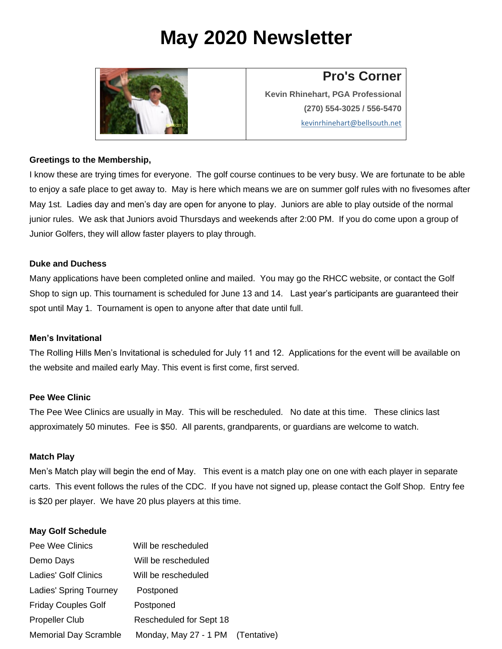# **May 2020 Newsletter**



### **Pro's Corner**

**Kevin Rhinehart, PGA Professional (270) 554-3025 / 556-5470** [kevinrhinehart@bellsouth.net](mailto:kevinrhinehart@bellsouth.net)

#### **Greetings to the Membership,**

I know these are trying times for everyone. The golf course continues to be very busy. We are fortunate to be able to enjoy a safe place to get away to. May is here which means we are on summer golf rules with no fivesomes after May 1st. Ladies day and men's day are open for anyone to play. Juniors are able to play outside of the normal junior rules. We ask that Juniors avoid Thursdays and weekends after 2:00 PM. If you do come upon a group of Junior Golfers, they will allow faster players to play through.

#### **Duke and Duchess**

Many applications have been completed online and mailed. You may go the RHCC website, or contact the Golf Shop to sign up. This tournament is scheduled for June 13 and 14. Last year's participants are guaranteed their spot until May 1. Tournament is open to anyone after that date until full.

#### **Men's Invitational**

The Rolling Hills Men's Invitational is scheduled for July 11 and 12. Applications for the event will be available on the website and mailed early May. This event is first come, first served.

#### **Pee Wee Clinic**

The Pee Wee Clinics are usually in May. This will be rescheduled. No date at this time. These clinics last approximately 50 minutes. Fee is \$50. All parents, grandparents, or guardians are welcome to watch.

#### **Match Play**

Men's Match play will begin the end of May. This event is a match play one on one with each player in separate carts. This event follows the rules of the CDC. If you have not signed up, please contact the Golf Shop. Entry fee is \$20 per player. We have 20 plus players at this time.

#### **May Golf Schedule**

| Pee Wee Clinics              | Will be rescheduled     |             |
|------------------------------|-------------------------|-------------|
| Demo Days                    | Will be rescheduled     |             |
| Ladies' Golf Clinics         | Will be rescheduled     |             |
| Ladies' Spring Tourney       | Postponed               |             |
| <b>Friday Couples Golf</b>   | Postponed               |             |
| <b>Propeller Club</b>        | Rescheduled for Sept 18 |             |
| <b>Memorial Day Scramble</b> | Monday, May 27 - 1 PM   | (Tentative) |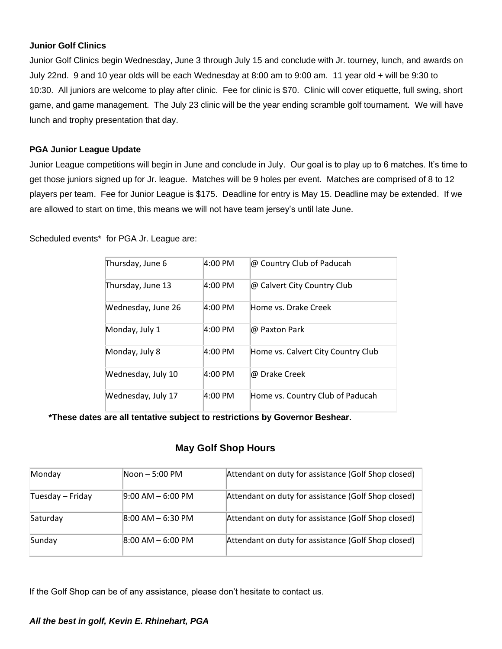#### **Junior Golf Clinics**

Junior Golf Clinics begin Wednesday, June 3 through July 15 and conclude with Jr. tourney, lunch, and awards on July 22nd. 9 and 10 year olds will be each Wednesday at 8:00 am to 9:00 am. 11 year old + will be 9:30 to 10:30. All juniors are welcome to play after clinic. Fee for clinic is \$70. Clinic will cover etiquette, full swing, short game, and game management. The July 23 clinic will be the year ending scramble golf tournament. We will have lunch and trophy presentation that day.

#### **PGA Junior League Update**

Junior League competitions will begin in June and conclude in July. Our goal is to play up to 6 matches. It's time to get those juniors signed up for Jr. league. Matches will be 9 holes per event. Matches are comprised of 8 to 12 players per team. Fee for Junior League is \$175. Deadline for entry is May 15. Deadline may be extended. If we are allowed to start on time, this means we will not have team jersey's until late June.

Scheduled events\* for PGA Jr. League are:

| Thursday, June 6   | 4:00 PM           | @ Country Club of Paducah          |
|--------------------|-------------------|------------------------------------|
| Thursday, June 13  | 4:00 PM           | @ Calvert City Country Club        |
| Wednesday, June 26 | $4:00 \text{ PM}$ | Home vs. Drake Creek               |
| Monday, July 1     | 4:00 PM           | @ Paxton Park                      |
| Monday, July 8     | $4:00 \text{ PM}$ | Home vs. Calvert City Country Club |
| Wednesday, July 10 | 4:00 PM           | @ Drake Creek                      |
| Wednesday, July 17 | $4:00 \text{ PM}$ | Home vs. Country Club of Paducah   |

**\*These dates are all tentative subject to restrictions by Governor Beshear.** 

#### **May Golf Shop Hours**

| Monday           | Noon - 5:00 PM       | Attendant on duty for assistance (Golf Shop closed) |
|------------------|----------------------|-----------------------------------------------------|
| Tuesday – Friday | $9:00$ AM $-6:00$ PM | Attendant on duty for assistance (Golf Shop closed) |
| Saturday         | $8:00$ AM $-6:30$ PM | Attendant on duty for assistance (Golf Shop closed) |
| Sunday           | $8:00$ AM $-6:00$ PM | Attendant on duty for assistance (Golf Shop closed) |

If the Golf Shop can be of any assistance, please don't hesitate to contact us.

#### *All the best in golf, Kevin E. Rhinehart, PGA*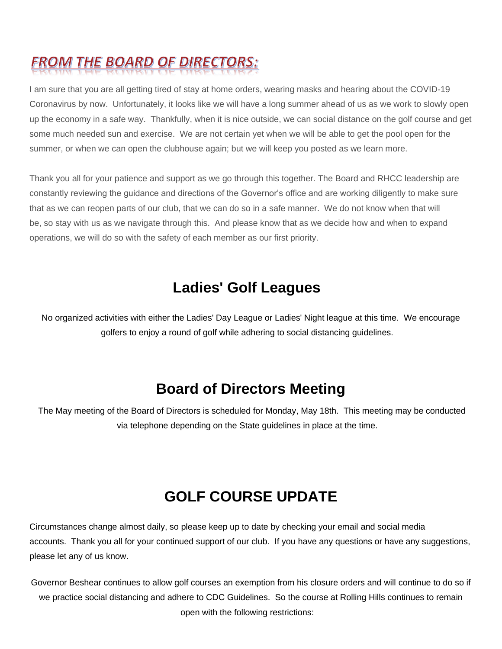## FROM THE BOARD OF DIRECTORS:

I am sure that you are all getting tired of stay at home orders, wearing masks and hearing about the COVID-19 Coronavirus by now. Unfortunately, it looks like we will have a long summer ahead of us as we work to slowly open up the economy in a safe way. Thankfully, when it is nice outside, we can social distance on the golf course and get some much needed sun and exercise. We are not certain yet when we will be able to get the pool open for the summer, or when we can open the clubhouse again; but we will keep you posted as we learn more.

Thank you all for your patience and support as we go through this together. The Board and RHCC leadership are constantly reviewing the guidance and directions of the Governor's office and are working diligently to make sure that as we can reopen parts of our club, that we can do so in a safe manner. We do not know when that will be, so stay with us as we navigate through this. And please know that as we decide how and when to expand operations, we will do so with the safety of each member as our first priority.

### **Ladies' Golf Leagues**

No organized activities with either the Ladies' Day League or Ladies' Night league at this time. We encourage golfers to enjoy a round of golf while adhering to social distancing guidelines.

### **Board of Directors Meeting**

The May meeting of the Board of Directors is scheduled for Monday, May 18th. This meeting may be conducted via telephone depending on the State guidelines in place at the time.

### **GOLF COURSE UPDATE**

Circumstances change almost daily, so please keep up to date by checking your email and social media accounts. Thank you all for your continued support of our club. If you have any questions or have any suggestions, please let any of us know.

Governor Beshear continues to allow golf courses an exemption from his closure orders and will continue to do so if we practice social distancing and adhere to CDC Guidelines. So the course at Rolling Hills continues to remain open with the following restrictions: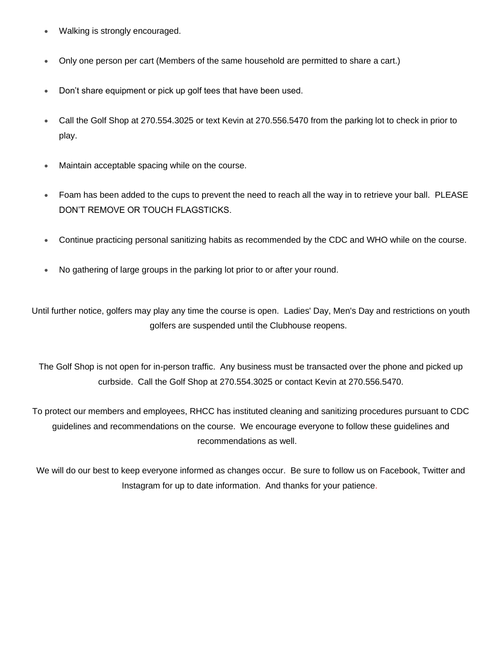- Walking is strongly encouraged.
- Only one person per cart (Members of the same household are permitted to share a cart.)
- Don't share equipment or pick up golf tees that have been used.
- Call the Golf Shop at 270.554.3025 or text Kevin at 270.556.5470 from the parking lot to check in prior to play.
- Maintain acceptable spacing while on the course.
- Foam has been added to the cups to prevent the need to reach all the way in to retrieve your ball. PLEASE DON'T REMOVE OR TOUCH FLAGSTICKS.
- Continue practicing personal sanitizing habits as recommended by the CDC and WHO while on the course.
- No gathering of large groups in the parking lot prior to or after your round.

Until further notice, golfers may play any time the course is open. Ladies' Day, Men's Day and restrictions on youth golfers are suspended until the Clubhouse reopens.

The Golf Shop is not open for in-person traffic. Any business must be transacted over the phone and picked up curbside. Call the Golf Shop at 270.554.3025 or contact Kevin at 270.556.5470.

To protect our members and employees, RHCC has instituted cleaning and sanitizing procedures pursuant to CDC guidelines and recommendations on the course. We encourage everyone to follow these guidelines and recommendations as well.

We will do our best to keep everyone informed as changes occur. Be sure to follow us on Facebook, Twitter and Instagram for up to date information. And thanks for your patience.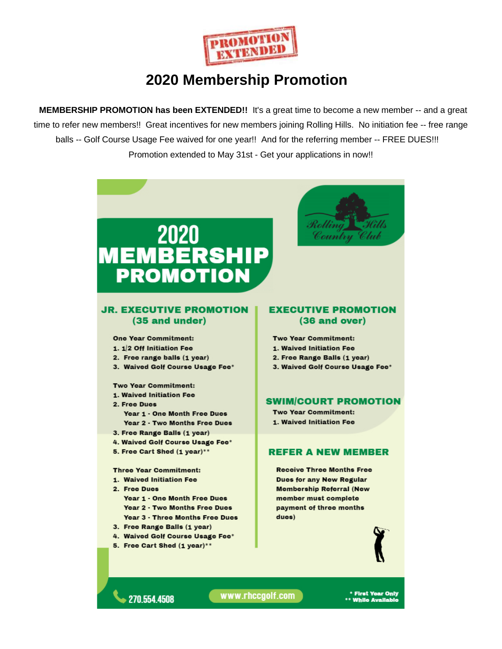

### **2020 Membership Promotion**

**MEMBERSHIP PROMOTION has been EXTENDED!!** It's a great time to become a new member -- and a great time to refer new members!! Great incentives for new members joining Rolling Hills. No initiation fee -- free range balls -- Golf Course Usage Fee waived for one year!! And for the referring member -- FREE DUES!!! Promotion extended to May 31st - Get your applications in now!!



270 554 4508

www.rhccgolf.com

First Year Only<br>While Available \*\*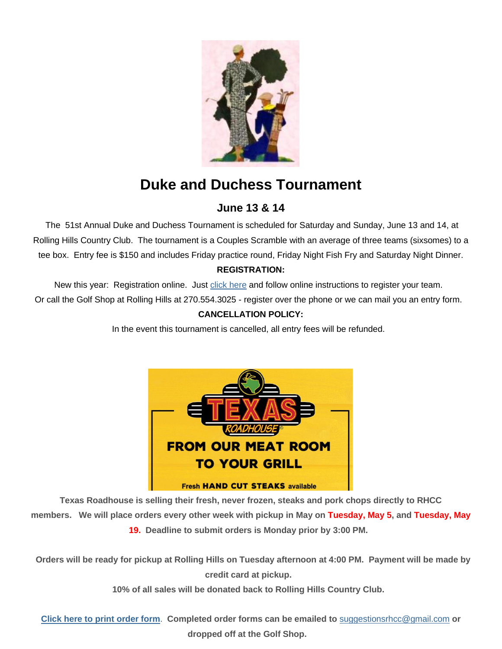

## **Duke and Duchess Tournament**

### **June 13 & 14**

The 51st Annual Duke and Duchess Tournament is scheduled for Saturday and Sunday, June 13 and 14, at Rolling Hills Country Club. The tournament is a Couples Scramble with an average of three teams (sixsomes) to a tee box. Entry fee is \$150 and includes Friday practice round, Friday Night Fish Fry and Saturday Night Dinner. **REGISTRATION:**

New this year: Registration online. Just [click here](https://rhccgolf.us2.list-manage.com/track/click?u=72c5f2b5e5bf2b0bdf2f59ef4&id=0f5a03ebca&e=32a2c53f90) and follow online instructions to register your team. Or call the Golf Shop at Rolling Hills at 270.554.3025 - register over the phone or we can mail you an entry form.

#### **CANCELLATION POLICY:**

In the event this tournament is cancelled, all entry fees will be refunded.



**Texas Roadhouse is selling their fresh, never frozen, steaks and pork chops directly to RHCC members. We will place orders every other week with pickup in May on Tuesday, May 5, and Tuesday, May 19. Deadline to submit orders is Monday prior by 3:00 PM.** 

**Orders will be ready for pickup at Rolling Hills on Tuesday afternoon at 4:00 PM. Payment will be made by credit card at pickup.** 

**10% of all sales will be donated back to Rolling Hills Country Club.** 

**[Click here to print](https://rhccgolf.us2.list-manage.com/track/click?u=72c5f2b5e5bf2b0bdf2f59ef4&id=5f70c6fd92&e=32a2c53f90) order form**. **Completed order forms can be emailed to** [suggestionsrhcc@gmail.com](mailto:suggestionsrhcc@gmail.com) **or dropped off at the Golf Shop.**